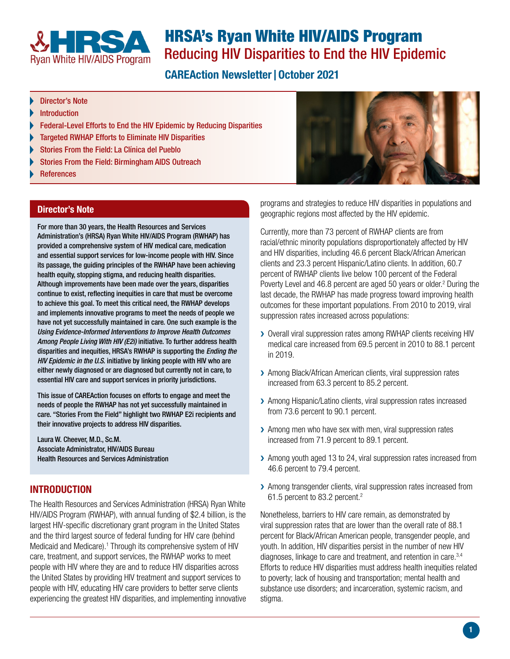<span id="page-0-0"></span>

# HRSA's Ryan White HIV/AIDS Program Reducing HIV Disparities to End the HIV Epidemic

# **CAREAction Newsletter | October 2021**

- Director's Note
- Introduction
- [Federal-Level Efforts to End the HIV Epidemic by Reducing Disparities](#page-1-0)
- [Targeted RWHAP Efforts to Eliminate HIV Disparities](#page-1-0)
- [Stories From the Field: La Clínica del Pueblo](#page-1-0)
- [Stories From the Field: Birmingham AIDS Outreach](#page-2-0)
- **[References](#page-3-0)**

#### Director's Note

For more than 30 years, the Health Resources and Services Administration's (HRSA) Ryan White HIV/AIDS Program (RWHAP) has provided a comprehensive system of HIV medical care, medication and essential support services for low-income people with HIV. Since its passage, the guiding principles of the RWHAP have been achieving health equity, stopping stigma, and reducing health disparities. Although improvements have been made over the years, disparities continue to exist, reflecting inequities in care that must be overcome to achieve this goal. To meet this critical need, the RWHAP develops and implements innovative programs to meet the needs of people we have not yet successfully maintained in care. One such example is the *Using Evidence-Informed Interventions to Improve Health Outcomes Among People Living With HIV (E2i)* initiative. To further address health disparities and inequities, HRSA's RWHAP is supporting the *Ending the HIV Epidemic in the U.S.* initiative by linking people with HIV who are either newly diagnosed or are diagnosed but currently not in care, to essential HIV care and support services in priority jurisdictions.

This issue of CAREAction focuses on efforts to engage and meet the needs of people the RWHAP has not yet successfully maintained in care. "Stories From the Field" highlight two RWHAP E2i recipients and their innovative projects to address HIV disparities.

Laura W. Cheever, M.D., Sc.M. Associate Administrator, HIV/AIDS Bureau Health Resources and Services Administration

#### INTRODUCTION

The Health Resources and Services Administration (HRSA) Ryan White HIV/AIDS Program (RWHAP), with annual funding of \$2.4 billion, is the largest HIV-specific discretionary grant program in the United States and the third largest source of federal funding for HIV care (behind Medicaid and Medicare).<sup>[1](#page-3-0)</sup> Through its comprehensive system of HIV care, treatment, and support services, the RWHAP works to meet people with HIV where they are and to reduce HIV disparities across the United States by providing HIV treatment and support services to people with HIV, educating HIV care providers to better serve clients experiencing the greatest HIV disparities, and implementing innovative



programs and strategies to reduce HIV disparities in populations and geographic regions most affected by the HIV epidemic.

Currently, more than 73 percent of RWHAP clients are from racial/ethnic minority populations disproportionately affected by HIV and HIV disparities, including 46.6 percent Black/African American clients and 23.3 percent Hispanic/Latino clients. In addition, 60.7 percent of RWHAP clients live below 100 percent of the Federal Poverty Level and 46.8 percent are aged 50 years or older.<sup>[2](#page-3-0)</sup> During the last decade, the RWHAP has made progress toward improving health outcomes for these important populations. From 2010 to 2019, viral suppression rates increased across populations:

- ▶ Overall viral suppression rates among RWHAP clients receiving HIV medical care increased from 69.5 percent in 2010 to 88.1 percent in 2019.
- > Among Black/African American clients, viral suppression rates increased from 63.3 percent to 85.2 percent.
- ▶ Among Hispanic/Latino clients, viral suppression rates increased from 73.6 percent to 90.1 percent.
- > Among men who have sex with men, viral suppression rates increased from 71.9 percent to 89.1 percent.
- ▶ Among youth aged 13 to 24, viral suppression rates increased from 46.6 percent to 79.4 percent.
- > Among transgender clients, viral suppression rates increased from 61.5 percent to 83.2 percent.[2](#page-3-1)

Nonetheless, barriers to HIV care remain, as demonstrated by viral suppression rates that are lower than the overall rate of 88.1 percent for Black/African American people, transgender people, and youth. In addition, HIV disparities persist in the number of new HIV diagnoses, linkage to care and treatment, and retention in care.<sup>[3](#page-3-0),[4](#page-3-0)</sup> Efforts to reduce HIV disparities must address health inequities related to poverty; lack of housing and transportation; mental health and substance use disorders; and incarceration, systemic racism, and stigma.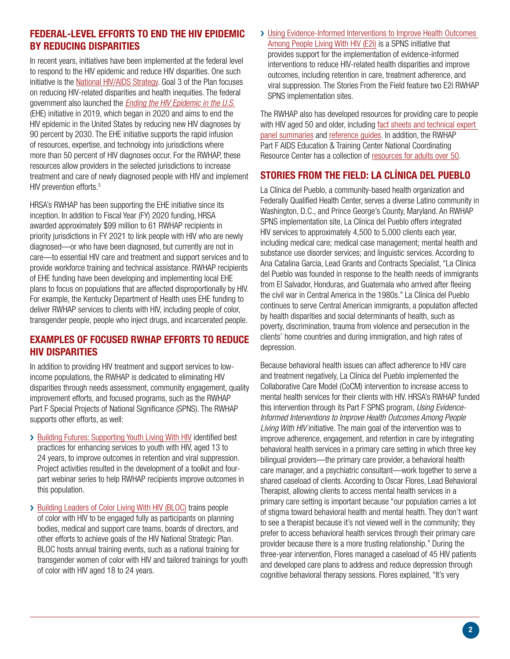#### <span id="page-1-0"></span>FEDERAL-LEVEL EFFORTS TO END THE HIV EPIDEMIC BY REDUCING DISPARITIES

In recent years, initiatives have been implemented at the federal level to respond to the HIV epidemic and reduce HIV disparities. One such initiative is the [National HIV/AIDS Strategy.](https://www.hiv.gov/federal-response/hiv-national-strategic-plan/hiv-plan-2021-2025) Goal 3 of the Plan focuses on reducing HIV-related disparities and health inequities. The federal government also launched the *[Ending the HIV Epidemic in the U.S.](https://www.hiv.gov/federal-response/ending-the-hiv-epidemic/overview)* (EHE) initiative in 2019, which began in 2020 and aims to end the HIV epidemic in the United States by reducing new HIV diagnoses by 90 percent by 2030. The EHE initiative supports the rapid infusion of resources, expertise, and technology into jurisdictions where more than 50 percent of HIV diagnoses occur. For the RWHAP, these resources allow providers in the selected jurisdictions to increase treatment and care of newly diagnosed people with HIV and implement HIV prevention efforts.<sup>[5](#page-3-0)</sup>

HRSA's RWHAP has been supporting the EHE initiative since its inception. In addition to Fiscal Year (FY) 2020 funding, HRSA awarded approximately \$99 million to 61 RWHAP recipients in priority jurisdictions in FY 2021 to link people with HIV who are newly diagnosed—or who have been diagnosed, but currently are not in care—to essential HIV care and treatment and support services and to provide workforce training and technical assistance. RWHAP recipients of EHE funding have been developing and implementing local EHE plans to focus on populations that are affected disproportionally by HIV. For example, the Kentucky Department of Health uses EHE funding to deliver RWHAP services to clients with HIV, including people of color, transgender people, people who inject drugs, and incarcerated people.

### EXAMPLES OF FOCUSED RWHAP EFFORTS TO REDUCE HIV DISPARITIES

In addition to providing HIV treatment and support services to lowincome populations, the RWHAP is dedicated to eliminating HIV disparities through needs assessment, community engagement, quality improvement efforts, and focused programs, such as the RWHAP Part F Special Projects of National Significance (SPNS). The RWHAP supports other efforts, as well:

- > [Building Futures: Supporting Youth Living With HIV](https://targethiv.org/library/hrsa-hab-building-futures-supporting-youth-living-hiv) identified best practices for enhancing services to youth with HIV, aged 13 to 24 years, to improve outcomes in retention and viral suppression. Project activities resulted in the development of a toolkit and fourpart webinar series to help RWHAP recipients improve outcomes in this population.
- > [Building Leaders of Color Living With HIV \(BLOC\)](https://targethiv.org/ta-org/blochiv) trains people of color with HIV to be engaged fully as participants on planning bodies, medical and support care teams, boards of directors, and other efforts to achieve goals of the HIV National Strategic Plan. BLOC hosts annual training events, such as a national training for transgender women of color with HIV and tailored trainings for youth of color with HIV aged 18 to 24 years.

> Using Evidence-Informed Interventions to Improve Health Outcomes [Among People Living With HIV \(E2i\)](https://targethiv.org/e2i) is a SPNS initiative that provides support for the implementation of evidence-informed interventions to reduce HIV-related health disparities and improve outcomes, including retention in care, treatment adherence, and viral suppression. The Stories From the Field feature two E2i RWHAP SPNS implementation sites.

The RWHAP also has developed resources for providing care to people with HIV aged 50 and older, including [fact sheets and technical expert](https://hab.hrsa.gov/publications/hivaids-bureau-fact-sheets)  [panel summaries](https://hab.hrsa.gov/publications/hivaids-bureau-fact-sheets) and [reference guides.](https://hab.hrsa.gov/clinical-quality-management/clinical-care-guidelines-and-resources) In addition, the RWHAP Part F AIDS Education & Training Center National Coordinating Resource Center has a collection of [resources for adults over 50](https://aidsetc.org/topic/adults-over-50).

### STORIES FROM THE FIELD: LA CLÍNICA DEL PUEBLO

La Clínica del Pueblo, a community-based health organization and Federally Qualified Health Center, serves a diverse Latino community in Washington, D.C., and Prince George's County, Maryland. An RWHAP SPNS implementation site, La Clínica del Pueblo offers integrated HIV services to approximately 4,500 to 5,000 clients each year, including medical care; medical case management; mental health and substance use disorder services; and linguistic services. According to Ana Catalina Garcia, Lead Grants and Contracts Specialist, "La Clínica del Pueblo was founded in response to the health needs of immigrants from El Salvador, Honduras, and Guatemala who arrived after fleeing the civil war in Central America in the 1980s." La Clínica del Pueblo continues to serve Central American immigrants, a population affected by health disparities and social determinants of health, such as poverty, discrimination, trauma from violence and persecution in the clients' home countries and during immigration, and high rates of depression.

Because behavioral health issues can affect adherence to HIV care and treatment negatively, La Clínica del Pueblo implemented the Collaborative Care Model (CoCM) intervention to increase access to mental health services for their clients with HIV. HRSA's RWHAP funded this intervention through its Part F SPNS program, *Using Evidence-Informed Interventions to Improve Health Outcomes Among People Living With HIV* initiative. The main goal of the intervention was to improve adherence, engagement, and retention in care by integrating behavioral health services in a primary care setting in which three key bilingual providers—the primary care provider, a behavioral health care manager, and a psychiatric consultant—work together to serve a shared caseload of clients. According to Oscar Flores, Lead Behavioral Therapist, allowing clients to access mental health services in a primary care setting is important because "our population carries a lot of stigma toward behavioral health and mental health. They don't want to see a therapist because it's not viewed well in the community; they prefer to access behavioral health services through their primary care provider because there is a more trusting relationship." During the three-year intervention, Flores managed a caseload of 45 HIV patients and developed care plans to address and reduce depression through cognitive behavioral therapy sessions. Flores explained, "It's very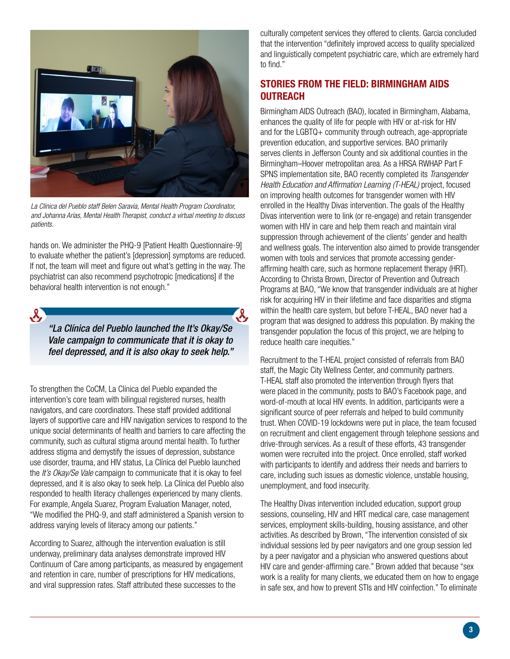<span id="page-2-0"></span>

*La Clínica del Pueblo staff Belen Saravia, Mental Health Program Coordinator, and Johanna Arias, Mental Health Therapist, conduct a virtual meeting to discuss patients.*

hands on. We administer the PHQ-9 [Patient Health Questionnaire-9] to evaluate whether the patient's [depression] symptoms are reduced. If not, the team will meet and figure out what's getting in the way. The psychiatrist can also recommend psychotropic [medications] if the behavioral health intervention is not enough."

*"La Clínica del Pueblo launched the It's Okay/Se Vale campaign to communicate that it is okay to feel depressed, and it is also okay to seek help."*

 $\lambda_{\rm s}$ 

 $\mathcal{R}_{\mathbf{z}}$ 

To strengthen the CoCM, La Clínica del Pueblo expanded the intervention's core team with bilingual registered nurses, health navigators, and care coordinators. These staff provided additional layers of supportive care and HIV navigation services to respond to the unique social determinants of health and barriers to care affecting the community, such as cultural stigma around mental health. To further address stigma and demystify the issues of depression, substance use disorder, trauma, and HIV status, La Clínica del Pueblo launched the *It's Okay/Se Vale* campaign to communicate that it is okay to feel depressed, and it is also okay to seek help. La Clínica del Pueblo also responded to health literacy challenges experienced by many clients. For example, Angela Suarez, Program Evaluation Manager, noted, "We modified the PHQ-9, and staff administered a Spanish version to address varying levels of literacy among our patients."

According to Suarez, although the intervention evaluation is still underway, preliminary data analyses demonstrate improved HIV Continuum of Care among participants, as measured by engagement and retention in care, number of prescriptions for HIV medications, and viral suppression rates. Staff attributed these successes to the

culturally competent services they offered to clients. Garcia concluded that the intervention "definitely improved access to quality specialized and linguistically competent psychiatric care, which are extremely hard to find."

## STORIES FROM THE FIELD: BIRMINGHAM AIDS **OUTREACH**

Birmingham AIDS Outreach (BAO), located in Birmingham, Alabama, enhances the quality of life for people with HIV or at-risk for HIV and for the LGBTQ+ community through outreach, age-appropriate prevention education, and supportive services. BAO primarily serves clients in Jefferson County and six additional counties in the Birmingham–Hoover metropolitan area. As a HRSA RWHAP Part F SPNS implementation site, BAO recently completed its *Transgender Health Education and Affirmation Learning (T-HEAL)* project, focused on improving health outcomes for transgender women with HIV enrolled in the Healthy Divas intervention. The goals of the Healthy Divas intervention were to link (or re-engage) and retain transgender women with HIV in care and help them reach and maintain viral suppression through achievement of the clients' gender and health and wellness goals. The intervention also aimed to provide transgender women with tools and services that promote accessing genderaffirming health care, such as hormone replacement therapy (HRT). According to Christa Brown, Director of Prevention and Outreach Programs at BAO, "We know that transgender individuals are at higher risk for acquiring HIV in their lifetime and face disparities and stigma within the health care system, but before T-HEAL, BAO never had a program that was designed to address this population. By making the transgender population the focus of this project, we are helping to reduce health care inequities."

Recruitment to the T-HEAL project consisted of referrals from BAO staff, the Magic City Wellness Center, and community partners. T-HEAL staff also promoted the intervention through flyers that were placed in the community, posts to BAO's Facebook page, and word-of-mouth at local HIV events. In addition, participants were a significant source of peer referrals and helped to build community trust. When COVID-19 lockdowns were put in place, the team focused on recruitment and client engagement through telephone sessions and drive-through services. As a result of these efforts, 43 transgender women were recruited into the project. Once enrolled, staff worked with participants to identify and address their needs and barriers to care, including such issues as domestic violence, unstable housing, unemployment, and food insecurity.

The Healthy Divas intervention included education, support group sessions, counseling, HIV and HRT medical care, case management services, employment skills-building, housing assistance, and other activities. As described by Brown, "The intervention consisted of six individual sessions led by peer navigators and one group session led by a peer navigator and a physician who answered questions about HIV care and gender-affirming care." Brown added that because "sex work is a reality for many clients, we educated them on how to engage in safe sex, and how to prevent STIs and HIV coinfection." To eliminate